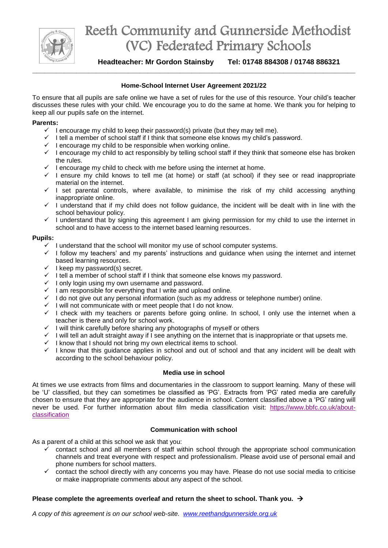

## Reeth Community and Gunnerside Methodist (VC) Federated Primary Schools

**Headteacher: Mr Gordon Stainsby Tel: 01748 884308 / 01748 886321**

#### **Home-School Internet User Agreement 2021/22**

To ensure that all pupils are safe online we have a set of rules for the use of this resource. Your child's teacher discusses these rules with your child. We encourage you to do the same at home. We thank you for helping to keep all our pupils safe on the internet.

#### **Parents:**

- $\checkmark$  I encourage my child to keep their password(s) private (but they may tell me).
- $\checkmark$  I tell a member of school staff if I think that someone else knows my child's password.
- $\checkmark$  I encourage my child to be responsible when working online.
- $\checkmark$  I encourage my child to act responsibly by telling school staff if they think that someone else has broken the rules.
- $\checkmark$  I encourage my child to check with me before using the internet at home.
- $\checkmark$  I ensure my child knows to tell me (at home) or staff (at school) if they see or read inappropriate material on the internet.
- $\checkmark$  I set parental controls, where available, to minimise the risk of my child accessing anything inappropriate online.
- $\checkmark$  I understand that if my child does not follow guidance, the incident will be dealt with in line with the school behaviour policy.
- $\checkmark$  I understand that by signing this agreement I am giving permission for my child to use the internet in school and to have access to the internet based learning resources.

#### **Pupils:**

- $\checkmark$  I understand that the school will monitor my use of school computer systems.
- $\checkmark$  I follow my teachers' and my parents' instructions and guidance when using the internet and internet based learning resources.
- $\checkmark$  I keep my password(s) secret.
- $\checkmark$  I tell a member of school staff if I think that someone else knows my password.
- $\checkmark$  I only login using my own username and password.
- $\checkmark$  I am responsible for everything that I write and upload online.
- $\checkmark$  I do not give out any personal information (such as my address or telephone number) online.
- $\checkmark$  I will not communicate with or meet people that I do not know.
- $\checkmark$  I check with my teachers or parents before going online. In school, I only use the internet when a teacher is there and only for school work.
- $\checkmark$  I will think carefully before sharing any photographs of myself or others
- $\checkmark$  I will tell an adult straight away if I see anything on the internet that is inappropriate or that upsets me.<br> $\checkmark$  I know that I should not bring my own electrical items to school.
- I know that I should not bring my own electrical items to school.
- $\checkmark$  I know that this guidance applies in school and out of school and that any incident will be dealt with according to the school behaviour policy.

#### **Media use in school**

At times we use extracts from films and documentaries in the classroom to support learning. Many of these will be 'U' classified, but they can sometimes be classified as 'PG'. Extracts from 'PG' rated media are carefully chosen to ensure that they are appropriate for the audience in school. Content classified above a 'PG' rating will never be used. For further information about film media classification visit: [https://www.bbfc.co.uk/about](https://www.bbfc.co.uk/about-classification)[classification](https://www.bbfc.co.uk/about-classification)

#### **Communication with school**

As a parent of a child at this school we ask that you:

- $\checkmark$  contact school and all members of staff within school through the appropriate school communication channels and treat everyone with respect and professionalism. Please avoid use of personal email and phone numbers for school matters.
- $\checkmark$  contact the school directly with any concerns you may have. Please do not use social media to criticise or make inappropriate comments about any aspect of the school.

#### **Please complete the agreements overleaf and return the sheet to school. Thank you.**

*A copy of this agreement is on our school web-site. [www.reethandgunnerside.org.uk](http://www.reethandgunnerside.org.uk/)*